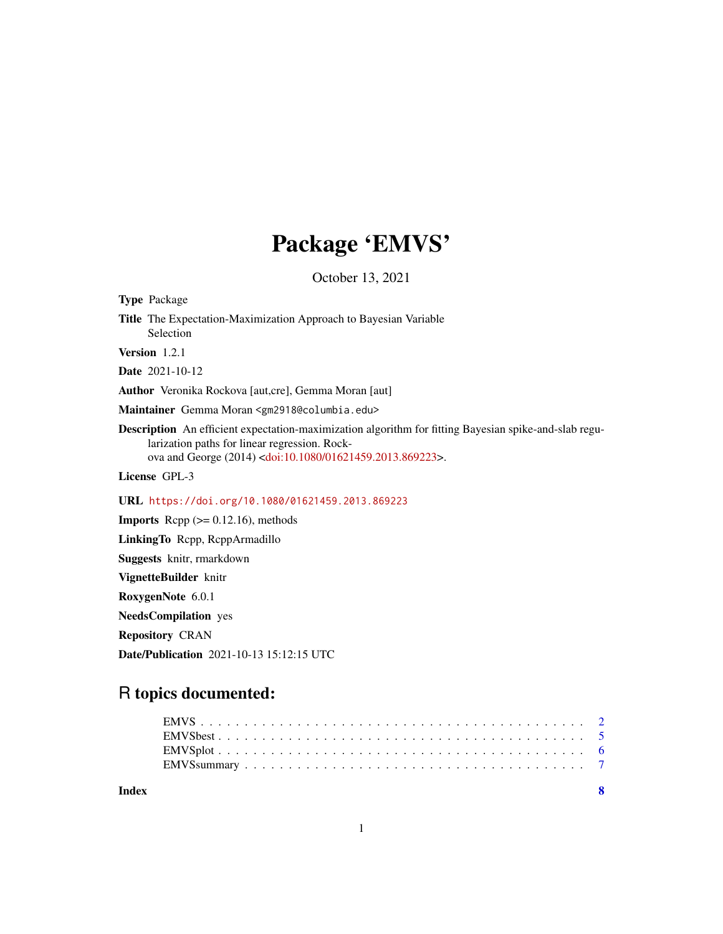## Package 'EMVS'

October 13, 2021

Type Package Title The Expectation-Maximization Approach to Bayesian Variable Selection Version 1.2.1 Date 2021-10-12 Author Veronika Rockova [aut,cre], Gemma Moran [aut] Maintainer Gemma Moran <gm2918@columbia.edu> Description An efficient expectation-maximization algorithm for fitting Bayesian spike-and-slab regularization paths for linear regression. Rockova and George (2014) [<doi:10.1080/01621459.2013.869223>](https://doi.org/10.1080/01621459.2013.869223). License GPL-3 URL <https://doi.org/10.1080/01621459.2013.869223> **Imports** Rcpp  $(>= 0.12.16)$ , methods LinkingTo Rcpp, RcppArmadillo Suggests knitr, rmarkdown VignetteBuilder knitr RoxygenNote 6.0.1

NeedsCompilation yes

Repository CRAN

Date/Publication 2021-10-13 15:12:15 UTC

### R topics documented:

**Index** [8](#page-7-0) **8**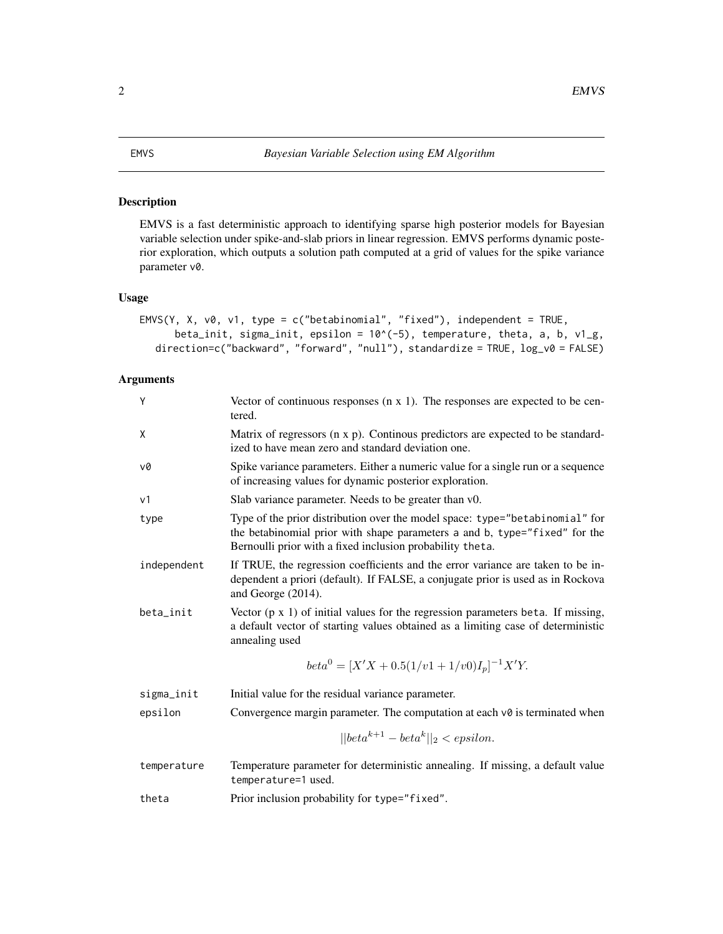#### <span id="page-1-0"></span>Description

EMVS is a fast deterministic approach to identifying sparse high posterior models for Bayesian variable selection under spike-and-slab priors in linear regression. EMVS performs dynamic posterior exploration, which outputs a solution path computed at a grid of values for the spike variance parameter v0.

#### Usage

```
EMVS(Y, X, v0, v1, type = c("betainomial", "fixed"), independent = TRUE,beta_init, sigma_init, epsilon = 10^{\circ}(-5), temperature, theta, a, b, v1_g,
  direction=c("backward", "forward", "null"), standardize = TRUE, log_v0 = FALSE)
```
#### Arguments

| Y              | Vector of continuous responses $(n \times 1)$ . The responses are expected to be cen-<br>tered.                                                                                                                         |
|----------------|-------------------------------------------------------------------------------------------------------------------------------------------------------------------------------------------------------------------------|
| X              | Matrix of regressors $(n \times p)$ . Continuous predictors are expected to be standard-<br>ized to have mean zero and standard deviation one.                                                                          |
| v0             | Spike variance parameters. Either a numeric value for a single run or a sequence<br>of increasing values for dynamic posterior exploration.                                                                             |
| v <sub>1</sub> | Slab variance parameter. Needs to be greater than v0.                                                                                                                                                                   |
| type           | Type of the prior distribution over the model space: type="betabinomial" for<br>the betabinomial prior with shape parameters a and b, type="fixed" for the<br>Bernoulli prior with a fixed inclusion probability theta. |
| independent    | If TRUE, the regression coefficients and the error variance are taken to be in-<br>dependent a priori (default). If FALSE, a conjugate prior is used as in Rockova<br>and George (2014).                                |
| beta_init      | Vector $(p \times 1)$ of initial values for the regression parameters beta. If missing,<br>a default vector of starting values obtained as a limiting case of deterministic<br>annealing used                           |
|                | $beta^0 = [X'X + 0.5(1/v1 + 1/v0)I_p]^{-1}X'Y.$                                                                                                                                                                         |
| sigma_init     | Initial value for the residual variance parameter.                                                                                                                                                                      |
| epsilon        | Convergence margin parameter. The computation at each v0 is terminated when                                                                                                                                             |
|                | $  beta^{k+1} - beta^{k}  _{2} < epsilon.$                                                                                                                                                                              |
| temperature    | Temperature parameter for deterministic annealing. If missing, a default value<br>temperature=1 used.                                                                                                                   |
| theta          | Prior inclusion probability for type="fixed".                                                                                                                                                                           |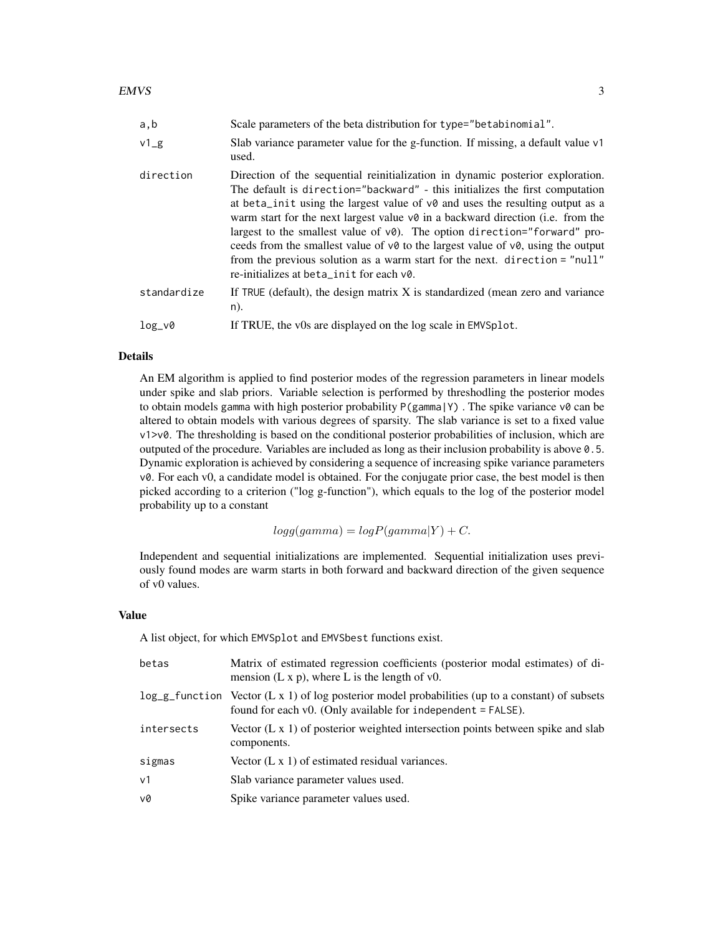| a, b        | Scale parameters of the beta distribution for type="betabinomial".                                                                                                                                                                                                                                                                                                                                                                                                                                                                                                                                                                                            |
|-------------|---------------------------------------------------------------------------------------------------------------------------------------------------------------------------------------------------------------------------------------------------------------------------------------------------------------------------------------------------------------------------------------------------------------------------------------------------------------------------------------------------------------------------------------------------------------------------------------------------------------------------------------------------------------|
| $v1_g$      | Slab variance parameter value for the g-function. If missing, a default value $v1$<br>used.                                                                                                                                                                                                                                                                                                                                                                                                                                                                                                                                                                   |
| direction   | Direction of the sequential reinitialization in dynamic posterior exploration.<br>The default is direction="backward" - this initializes the first computation<br>at beta_init using the largest value of $\nu\theta$ and uses the resulting output as a<br>warm start for the next largest value $v\theta$ in a backward direction (i.e. from the<br>largest to the smallest value of v0). The option direction="forward" pro-<br>ceeds from the smallest value of $v\theta$ to the largest value of $v\theta$ , using the output<br>from the previous solution as a warm start for the next. direction = "null"<br>re-initializes at beta_init for each v0. |
| standardize | If TRUE (default), the design matrix X is standardized (mean zero and variance<br>n).                                                                                                                                                                                                                                                                                                                                                                                                                                                                                                                                                                         |

log\_v0 If TRUE, the v0s are displayed on the log scale in EMVSplot.

#### Details

An EM algorithm is applied to find posterior modes of the regression parameters in linear models under spike and slab priors. Variable selection is performed by threshodling the posterior modes to obtain models gamma with high posterior probability  $P(gamma|Y)$ . The spike variance v0 can be altered to obtain models with various degrees of sparsity. The slab variance is set to a fixed value v1>v0. The thresholding is based on the conditional posterior probabilities of inclusion, which are outputed of the procedure. Variables are included as long as their inclusion probability is above 0.5. Dynamic exploration is achieved by considering a sequence of increasing spike variance parameters v0. For each v0, a candidate model is obtained. For the conjugate prior case, the best model is then picked according to a criterion ("log g-function"), which equals to the log of the posterior model probability up to a constant

 $logq(gamma) = logP(gamma|Y) + C.$ 

Independent and sequential initializations are implemented. Sequential initialization uses previously found modes are warm starts in both forward and backward direction of the given sequence of v0 values.

#### Value

A list object, for which EMVSplot and EMVSbest functions exist.

| betas          | Matrix of estimated regression coefficients (posterior modal estimates) of di-<br>mension $(L \times p)$ , where L is the length of v0.                               |
|----------------|-----------------------------------------------------------------------------------------------------------------------------------------------------------------------|
|                | $\log_{2}$ function Vector (L x 1) of log posterior model probabilities (up to a constant) of subsets<br>found for each v0. (Only available for independent = FALSE). |
| intersects     | Vector $(L \times 1)$ of posterior weighted intersection points between spike and slab<br>components.                                                                 |
| sigmas         | Vector $(L \times 1)$ of estimated residual variances.                                                                                                                |
| v <sub>1</sub> | Slab variance parameter values used.                                                                                                                                  |
| v0             | Spike variance parameter values used.                                                                                                                                 |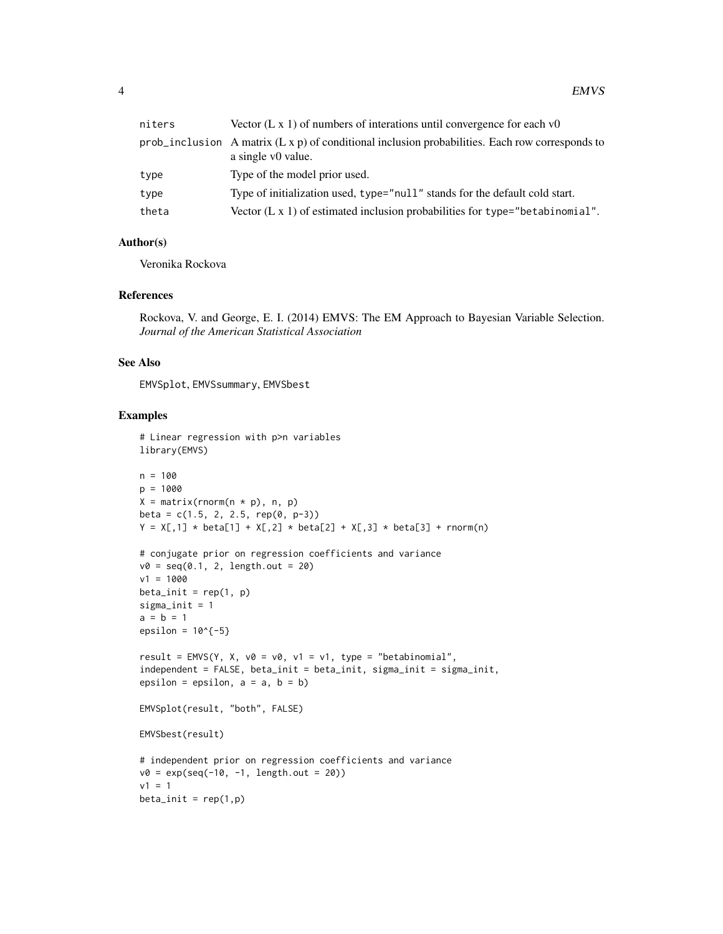| niters | Vector $(L \times 1)$ of numbers of interations until convergence for each v0                                           |
|--------|-------------------------------------------------------------------------------------------------------------------------|
|        | prob_inclusion A matrix $(L x p)$ of conditional inclusion probabilities. Each row corresponds to<br>a single v0 value. |
| type   | Type of the model prior used.                                                                                           |
| type   | Type of initialization used, type="null" stands for the default cold start.                                             |
| theta  | Vector $(L x 1)$ of estimated inclusion probabilities for type="betabinomial".                                          |

#### Author(s)

Veronika Rockova

#### References

Rockova, V. and George, E. I. (2014) EMVS: The EM Approach to Bayesian Variable Selection. *Journal of the American Statistical Association*

#### See Also

EMVSplot, EMVSsummary, EMVSbest

#### Examples

```
# Linear regression with p>n variables
library(EMVS)
n = 100
p = 1000X = matrix(rnorm(n * p), n, p)beta = c(1.5, 2, 2.5, rep(0, p-3))Y = X[, 1] * beta[1] + X[, 2] * beta[2] + X[, 3] * beta[3] + rnorm(n)# conjugate prior on regression coefficients and variance
v0 = \text{seq}(0.1, 2, \text{length.out} = 20)v1 = 1000beta\_init = rep(1, p)sigma_init = 1
a = b = 1epsilon = 10^{-6}[-5]
result = EMVS(Y, X, v0 = v0, v1 = v1, type = "betabinomial",
independent = FALSE, beta_init = beta_init, sigma_init = sigma_init,
epsilon = epsilon, a = a, b = b)
EMVSplot(result, "both", FALSE)
EMVSbest(result)
# independent prior on regression coefficients and variance
v0 = exp(seq(-10, -1, length.out = 20))v1 = 1beta\_init = rep(1,p)
```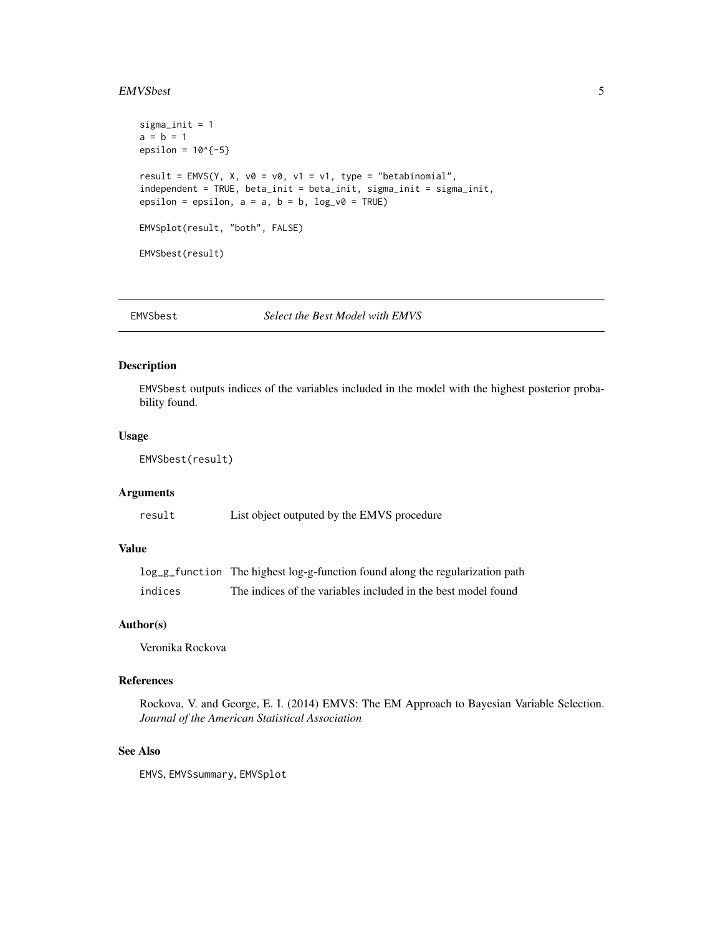#### <span id="page-4-0"></span>EMVSbest 5

```
sigma_init = 1
a = b = 1epsilon = 10^{-6}{-5}
result = EMVS(Y, X, v0 = v0, v1 = v1, type = "betabinomial",independent = TRUE, beta_init = beta_init, sigma_init = sigma_init,
epsilon = epsilon, a = a, b = b, log_v 0 = TRUE)
EMVSplot(result, "both", FALSE)
EMVSbest(result)
```
EMVSbest *Select the Best Model with EMVS*

#### Description

EMVSbest outputs indices of the variables included in the model with the highest posterior probability found.

#### Usage

EMVSbest(result)

#### Arguments

result List object outputed by the EMVS procedure

#### Value

|         | log_g_function The highest log-g-function found along the regularization path |
|---------|-------------------------------------------------------------------------------|
| indices | The indices of the variables included in the best model found                 |

#### Author(s)

Veronika Rockova

#### References

Rockova, V. and George, E. I. (2014) EMVS: The EM Approach to Bayesian Variable Selection. *Journal of the American Statistical Association*

#### See Also

EMVS, EMVSsummary, EMVSplot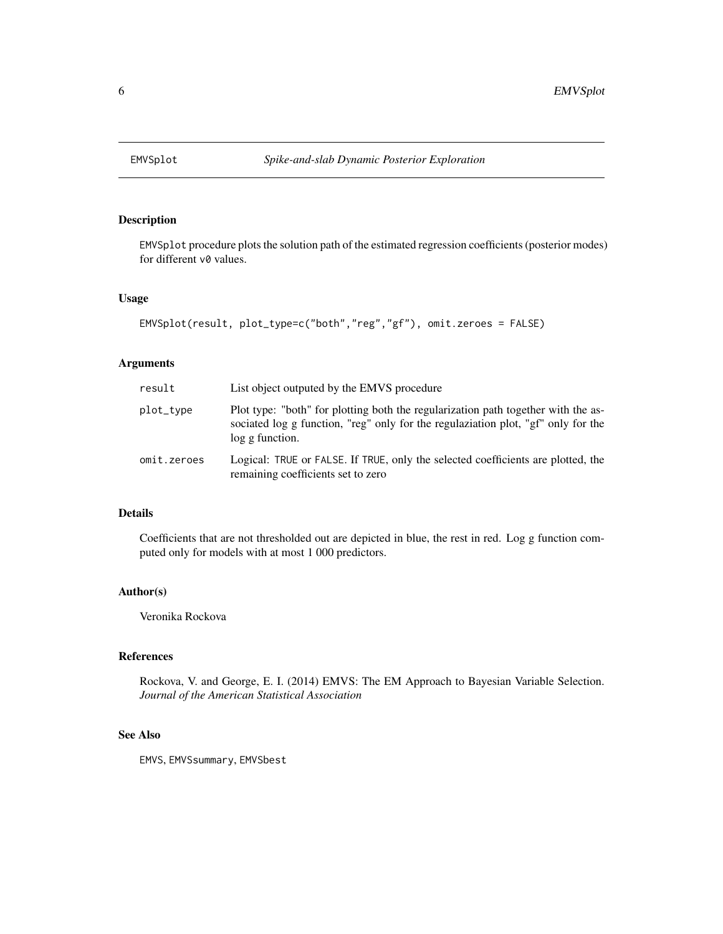<span id="page-5-0"></span>

#### Description

EMVSplot procedure plots the solution path of the estimated regression coefficients (posterior modes) for different v0 values.

#### Usage

```
EMVSplot(result, plot_type=c("both","reg","gf"), omit.zeroes = FALSE)
```
#### Arguments

| result      | List object outputed by the EMVS procedure                                                                                                                                                |
|-------------|-------------------------------------------------------------------------------------------------------------------------------------------------------------------------------------------|
| plot_type   | Plot type: "both" for plotting both the regularization path together with the as-<br>sociated log g function, "reg" only for the regulaziation plot, "gf" only for the<br>log g function. |
| omit.zeroes | Logical: TRUE or FALSE. If TRUE, only the selected coefficients are plotted, the<br>remaining coefficients set to zero                                                                    |

#### Details

Coefficients that are not thresholded out are depicted in blue, the rest in red. Log g function computed only for models with at most 1 000 predictors.

#### Author(s)

Veronika Rockova

#### References

Rockova, V. and George, E. I. (2014) EMVS: The EM Approach to Bayesian Variable Selection. *Journal of the American Statistical Association*

#### See Also

EMVS, EMVSsummary, EMVSbest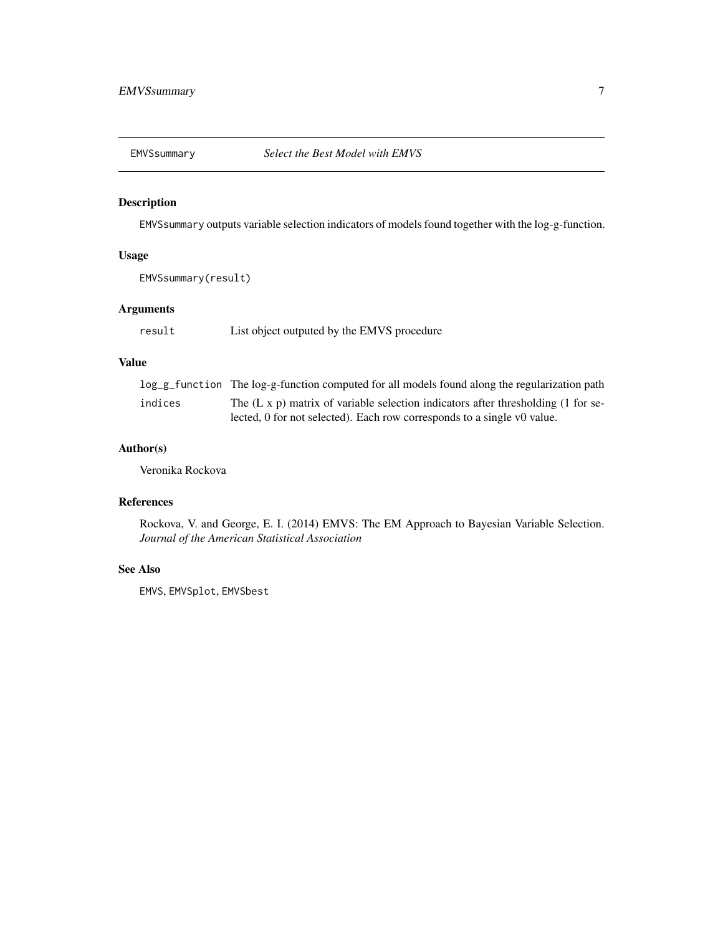<span id="page-6-0"></span>

#### Description

EMVSsummary outputs variable selection indicators of models found together with the log-g-function.

#### Usage

EMVSsummary(result)

#### Arguments

result List object outputed by the EMVS procedure

#### Value

|         | log_g_function The log-g-function computed for all models found along the regularization path |
|---------|-----------------------------------------------------------------------------------------------|
| indices | The $(L \times p)$ matrix of variable selection indicators after thresholding (1 for se-      |
|         | lected, 0 for not selected). Each row corresponds to a single v0 value.                       |

#### Author(s)

Veronika Rockova

#### References

Rockova, V. and George, E. I. (2014) EMVS: The EM Approach to Bayesian Variable Selection. *Journal of the American Statistical Association*

#### See Also

EMVS, EMVSplot, EMVSbest